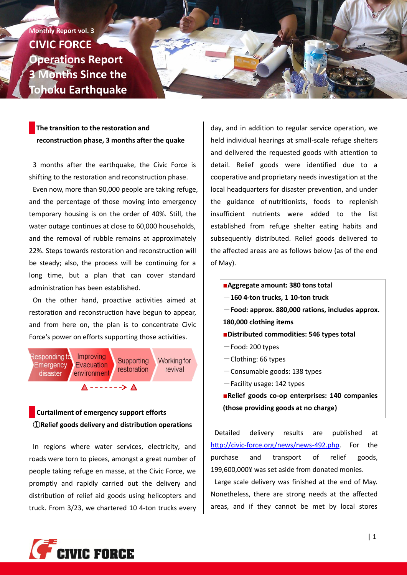**Monthly Report vol. 3 CIVIC FORCE Operations Report 3 Months Since the Tohoku Earthquake**

# **The transition to the restoration and reconstruction phase, 3 months after the quake**

3 months after the earthquake, the Civic Force is shifting to the restoration and reconstruction phase.

Even now, more than 90,000 people are taking refuge, and the percentage of those moving into emergency temporary housing is on the order of 40%. Still, the water outage continues at close to 60,000 households, and the removal of rubble remains at approximately 22%. Steps towards restoration and reconstruction will be steady; also, the process will be continuing for a long time, but a plan that can cover standard administration has been established.

On the other hand, proactive activities aimed at restoration and reconstruction have begun to appear, and from here on, the plan is to concentrate Civic Force's power on efforts supporting those activities.



# **Curtailment of emergency support efforts** ①**Relief goods delivery and distribution operations**

In regions where water services, electricity, and roads were torn to pieces, amongst a great number of people taking refuge en masse, at the Civic Force, we promptly and rapidly carried out the delivery and distribution of relief aid goods using helicopters and truck. From 3/23, we chartered 10 4-ton trucks every day, and in addition to regular service operation, we held individual hearings at small-scale refuge shelters and delivered the requested goods with attention to detail. Relief goods were identified due to a cooperative and proprietary needs investigation at the local headquarters for disaster prevention, and under the guidance of nutritionists, foods to replenish insufficient nutrients were added to the list established from refuge shelter eating habits and subsequently distributed. Relief goods delivered to the affected areas are as follows below (as of the end of May).

■**Aggregate amount: 380 tons total**

- -**160 4-ton trucks, 1 10-ton truck**
- -**Food: approx. 880,000 rations, includes approx.**
- **180,000 clothing items**
- ■**Distributed commodities: 546 types total**
- $-$ Food: 200 types
- $-$ Clothing: 66 types
- $-$ Consumable goods: 138 types
- $-$ Facility usage: 142 types

■**Relief goods co-op enterprises: 140 companies (those providing goods at no charge)**

Detailed delivery results are published at [http://civic-force.org/news/news-492.php.](http://civic-force.org/news/news-492.php) For the purchase and transport of relief goods, 199,600,000¥ was set aside from donated monies.

Large scale delivery was finished at the end of May. Nonetheless, there are strong needs at the affected areas, and if they cannot be met by local stores

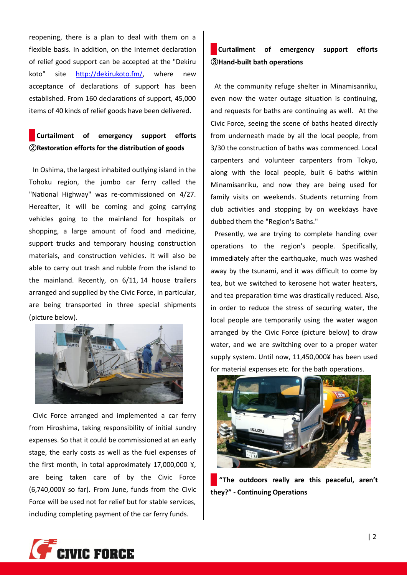reopening, there is a plan to deal with them on a flexible basis. In addition, on the Internet declaration of relief good support can be accepted at the "Dekiru koto" site [http://dekirukoto.fm/,](http://dekirukoto.fm/) where new acceptance of declarations of support has been established. From 160 declarations of support, 45,000 items of 40 kinds of relief goods have been delivered.

# **Curtailment of emergency support efforts** ②**Restoration efforts for the distribution of goods**

In Oshima, the largest inhabited outlying island in the Tohoku region, the jumbo car ferry called the "National Highway" was re-commissioned on 4/27. Hereafter, it will be coming and going carrying vehicles going to the mainland for hospitals or shopping, a large amount of food and medicine, support trucks and temporary housing construction materials, and construction vehicles. It will also be able to carry out trash and rubble from the island to the mainland. Recently, on 6/11, 14 house trailers arranged and supplied by the Civic Force, in particular, are being transported in three special shipments (picture below).



Civic Force arranged and implemented a car ferry from Hiroshima, taking responsibility of initial sundry expenses. So that it could be commissioned at an early stage, the early costs as well as the fuel expenses of the first month, in total approximately 17,000,000 ¥, are being taken care of by the Civic Force (6,740,000¥ so far). From June, funds from the Civic Force will be used not for relief but for stable services, including completing payment of the car ferry funds.

### **Curtailment of emergency support efforts**  ③**Hand-built bath operations**

At the community refuge shelter in Minamisanriku, even now the water outage situation is continuing, and requests for baths are continuing as well. At the Civic Force, seeing the scene of baths heated directly from underneath made by all the local people, from 3/30 the construction of baths was commenced. Local carpenters and volunteer carpenters from Tokyo, along with the local people, built 6 baths within Minamisanriku, and now they are being used for family visits on weekends. Students returning from club activities and stopping by on weekdays have dubbed them the "Region's Baths."

Presently, we are trying to complete handing over operations to the region's people. Specifically, immediately after the earthquake, much was washed away by the tsunami, and it was difficult to come by tea, but we switched to kerosene hot water heaters, and tea preparation time was drastically reduced. Also, in order to reduce the stress of securing water, the local people are temporarily using the water wagon arranged by the Civic Force (picture below) to draw water, and we are switching over to a proper water supply system. Until now, 11,450,000¥ has been used for material expenses etc. for the bath operations.



**"The outdoors really are this peaceful, aren't they?" - Continuing Operations**

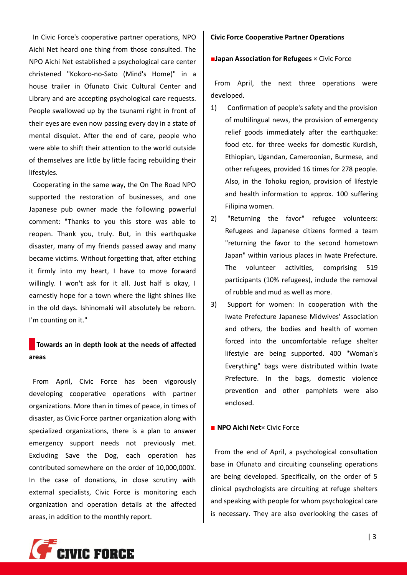In Civic Force's cooperative partner operations, NPO Aichi Net heard one thing from those consulted. The NPO Aichi Net established a psychological care center christened "Kokoro-no-Sato (Mind's Home)" in a house trailer in Ofunato Civic Cultural Center and Library and are accepting psychological care requests. People swallowed up by the tsunami right in front of their eyes are even now passing every day in a state of mental disquiet. After the end of care, people who were able to shift their attention to the world outside of themselves are little by little facing rebuilding their lifestyles.

Cooperating in the same way, the On The Road NPO supported the restoration of businesses, and one Japanese pub owner made the following powerful comment: "Thanks to you this store was able to reopen. Thank you, truly. But, in this earthquake disaster, many of my friends passed away and many became victims. Without forgetting that, after etching it firmly into my heart, I have to move forward willingly. I won't ask for it all. Just half is okay, I earnestly hope for a town where the light shines like in the old days. Ishinomaki will absolutely be reborn. I'm counting on it."

## **Towards an in depth look at the needs of affected areas**

From April, Civic Force has been vigorously developing cooperative operations with partner organizations. More than in times of peace, in times of disaster, as Civic Force partner organization along with specialized organizations, there is a plan to answer emergency support needs not previously met. Excluding Save the Dog, each operation has contributed somewhere on the order of 10,000,000¥. In the case of donations, in close scrutiny with external specialists, Civic Force is monitoring each organization and operation details at the affected areas, in addition to the monthly report.

#### **Civic Force Cooperative Partner Operations**

■**Japan Association for Refugees** × Civic Force

From April, the next three operations were developed.

- 1) Confirmation of people's safety and the provision of multilingual news, the provision of emergency relief goods immediately after the earthquake: food etc. for three weeks for domestic Kurdish, Ethiopian, Ugandan, Cameroonian, Burmese, and other refugees, provided 16 times for 278 people. Also, in the Tohoku region, provision of lifestyle and health information to approx. 100 suffering Filipina women.
- 2) "Returning the favor" refugee volunteers: Refugees and Japanese citizens formed a team "returning the favor to the second hometown Japan" within various places in Iwate Prefecture. The volunteer activities, comprising 519 participants (10% refugees), include the removal of rubble and mud as well as more.
- 3) Support for women: In cooperation with the Iwate Prefecture Japanese Midwives' Association and others, the bodies and health of women forced into the uncomfortable refuge shelter lifestyle are being supported. 400 "Woman's Everything" bags were distributed within Iwate Prefecture. In the bags, domestic violence prevention and other pamphlets were also enclosed.

#### ■ **NPO Aichi Net**× Civic Force

From the end of April, a psychological consultation base in Ofunato and circuiting counseling operations are being developed. Specifically, on the order of 5 clinical psychologists are circuiting at refuge shelters and speaking with people for whom psychological care is necessary. They are also overlooking the cases of

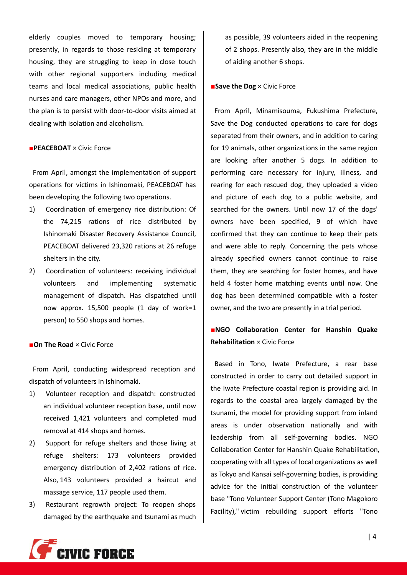elderly couples moved to temporary housing; presently, in regards to those residing at temporary housing, they are struggling to keep in close touch with other regional supporters including medical teams and local medical associations, public health nurses and care managers, other NPOs and more, and the plan is to persist with door-to-door visits aimed at dealing with isolation and alcoholism.

#### ■**PEACEBOAT** × Civic Force

From April, amongst the implementation of support operations for victims in Ishinomaki, PEACEBOAT has been developing the following two operations.

- 1) Coordination of emergency rice distribution: Of the 74,215 rations of rice distributed by Ishinomaki Disaster Recovery Assistance Council, PEACEBOAT delivered 23,320 rations at 26 refuge shelters in the city.
- 2) Coordination of volunteers: receiving individual volunteers and implementing systematic management of dispatch. Has dispatched until now approx. 15,500 people (1 day of work=1 person) to 550 shops and homes.

#### ■**On The Road** × Civic Force

From April, conducting widespread reception and dispatch of volunteers in Ishinomaki.

- 1) Volunteer reception and dispatch: constructed an individual volunteer reception base, until now received 1,421 volunteers and completed mud removal at 414 shops and homes.
- 2) Support for refuge shelters and those living at refuge shelters: 173 volunteers provided emergency distribution of 2,402 rations of rice. Also, 143 volunteers provided a haircut and massage service, 117 people used them.
- 3) Restaurant regrowth project: To reopen shops damaged by the earthquake and tsunami as much

as possible, 39 volunteers aided in the reopening of 2 shops. Presently also, they are in the middle of aiding another 6 shops.

#### ■**Save the Dog** × Civic Force

From April, Minamisouma, Fukushima Prefecture, Save the Dog conducted operations to care for dogs separated from their owners, and in addition to caring for 19 animals, other organizations in the same region are looking after another 5 dogs. In addition to performing care necessary for injury, illness, and rearing for each rescued dog, they uploaded a video and picture of each dog to a public website, and searched for the owners. Until now 17 of the dogs' owners have been specified, 9 of which have confirmed that they can continue to keep their pets and were able to reply. Concerning the pets whose already specified owners cannot continue to raise them, they are searching for foster homes, and have held 4 foster home matching events until now. One dog has been determined compatible with a foster owner, and the two are presently in a trial period.

# ■**NGO Collaboration Center for Hanshin Quake Rehabilitation** × Civic Force

Based in Tono, Iwate Prefecture, a rear base constructed in order to carry out detailed support in the Iwate Prefecture coastal region is providing aid. In regards to the coastal area largely damaged by the tsunami, the model for providing support from inland areas is under observation nationally and with leadership from all self-governing bodies. NGO Collaboration Center for Hanshin Quake Rehabilitation, cooperating with all types of local organizations as well as Tokyo and Kansai self-governing bodies, is providing advice for the initial construction of the volunteer base "Tono Volunteer Support Center (Tono Magokoro Facility)," victim rebuilding support efforts "Tono

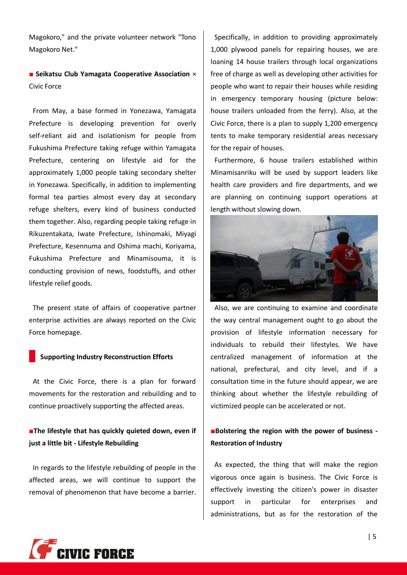Magokoro," and the private volunteer network "Tono Magokoro Net."

### ■ Seikatsu Club Yamagata Cooperative Association  $×$ Civic Force

From May, a base formed in Yonezawa, Yamagata Prefecture is developing prevention for overly self-reliant aid and isolationism for people from Fukushima Prefecture taking refuge within Yamagata Prefecture, centering on lifestyle aid for the approximately 1,000 people taking secondary shelter in Yonezawa. Specifically, in addition to implementing formal tea parties almost every day at secondary refuge shelters, every kind of business conducted them together. Also, regarding people taking refuge in Rikuzentakata, Iwate Prefecture, Ishinomaki, Miyagi Prefecture, Kesennuma and Oshima machi, Koriyama, Fukushima Prefecture and Minamisouma, it is conducting provision of news, foodstuffs, and other lifestyle relief goods.

The present state of affairs of cooperative partner enterprise activities are always reported on the Civic Force homepage.

#### **Supporting Industry Reconstruction Efforts**

At the Civic Force, there is a plan for forward movements for the restoration and rebuilding and to continue proactively supporting the affected areas.

■**The lifestyle that has quickly quieted down, even if just a little bit - Lifestyle Rebuilding**

In regards to the lifestyle rebuilding of people in the affected areas, we will continue to support the removal of phenomenon that have become a barrier.

Specifically, in addition to providing approximately 1,000 plywood panels for repairing houses, we are loaning 14 house trailers through local organizations free of charge as well as developing other activities for people who want to repair their houses while residing in emergency temporary housing (picture below: house trailers unloaded from the ferry). Also, at the Civic Force, there is a plan to supply 1,200 emergency tents to make temporary residential areas necessary for the repair of houses.

Furthermore, 6 house trailers established within Minamisanriku will be used by support leaders like health care providers and fire departments, and we are planning on continuing support operations at length without slowing down.



Also, we are continuing to examine and coordinate the way central management ought to go about the provision of lifestyle information necessary for individuals to rebuild their lifestyles. We have centralized management of information at the national, prefectural, and city level, and if a consultation time in the future should appear, we are thinking about whether the lifestyle rebuilding of victimized people can be accelerated or not.

### ■**Bolstering the region with the power of business - Restoration of Industry**

As expected, the thing that will make the region vigorous once again is business. The Civic Force is effectively investing the citizen's power in disaster support in particular for enterprises and administrations, but as for the restoration of the